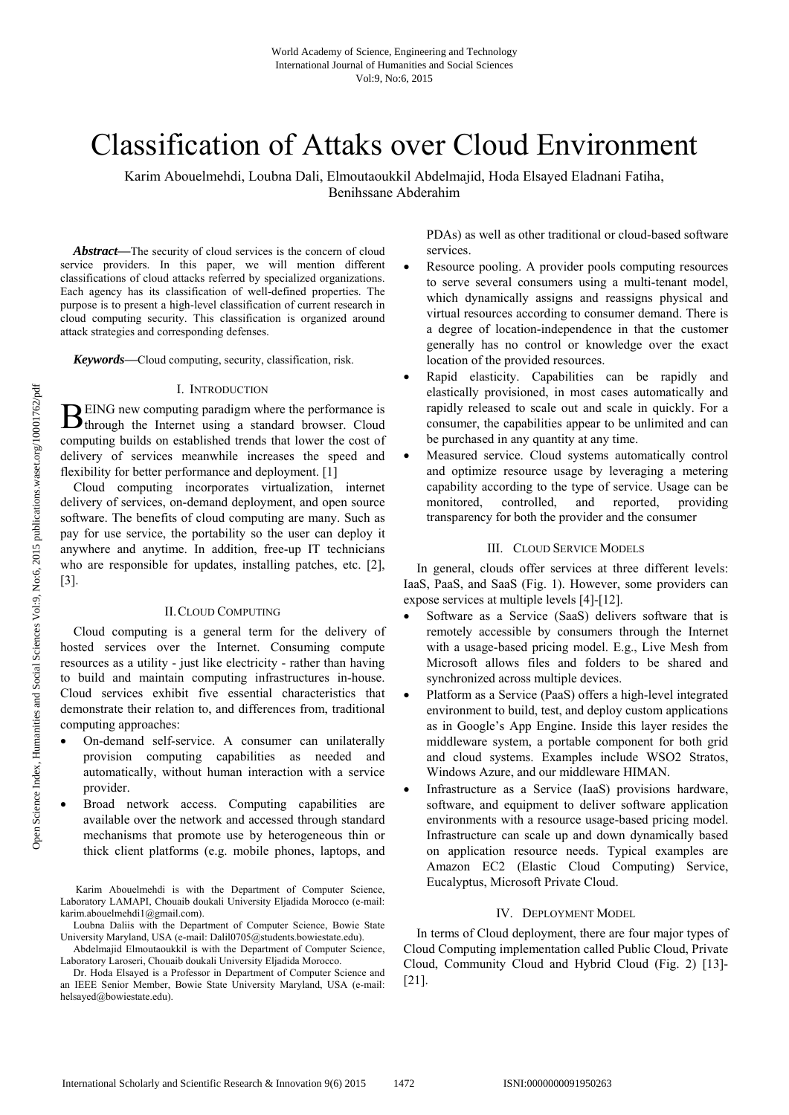# Classification of Attaks over Cloud Environment

Karim Abouelmehdi, Loubna Dali, Elmoutaoukkil Abdelmajid, Hoda Elsayed Eladnani Fatiha, Benihssane Abderahim

*Abstract***—**The security of cloud services is the concern of cloud service providers. In this paper, we will mention different classifications of cloud attacks referred by specialized organizations. Each agency has its classification of well-defined properties. The purpose is to present a high-level classification of current research in cloud computing security. This classification is organized around attack strategies and corresponding defenses.

*Keywords***—**Cloud computing, security, classification, risk.

#### I. INTRODUCTION

EING new computing paradigm where the performance is  $B$  EING new computing paradigm where the performance is through the Internet using a standard browser. Cloud computing builds on established trends that lower the cost of delivery of services meanwhile increases the speed and flexibility for better performance and deployment. [1]

Cloud computing incorporates virtualization, internet delivery of services, on-demand deployment, and open source software. The benefits of cloud computing are many. Such as pay for use service, the portability so the user can deploy it anywhere and anytime. In addition, free-up IT technicians who are responsible for updates, installing patches, etc. [2], [3].

#### II.CLOUD COMPUTING

Cloud computing is a general term for the delivery of hosted services over the Internet. Consuming compute resources as a utility - just like electricity - rather than having to build and maintain computing infrastructures in-house. Cloud services exhibit five essential characteristics that demonstrate their relation to, and differences from, traditional computing approaches:

- On-demand self-service. A consumer can unilaterally provision computing capabilities as needed and automatically, without human interaction with a service provider.
- Broad network access. Computing capabilities are available over the network and accessed through standard mechanisms that promote use by heterogeneous thin or thick client platforms (e.g. mobile phones, laptops, and

PDAs) as well as other traditional or cloud-based software services.

- Resource pooling. A provider pools computing resources to serve several consumers using a multi-tenant model, which dynamically assigns and reassigns physical and virtual resources according to consumer demand. There is a degree of location-independence in that the customer generally has no control or knowledge over the exact location of the provided resources.
- Rapid elasticity. Capabilities can be rapidly and elastically provisioned, in most cases automatically and rapidly released to scale out and scale in quickly. For a consumer, the capabilities appear to be unlimited and can be purchased in any quantity at any time.
- Measured service. Cloud systems automatically control and optimize resource usage by leveraging a metering capability according to the type of service. Usage can be monitored, controlled, and reported, providing transparency for both the provider and the consumer

### III. CLOUD SERVICE MODELS

In general, clouds offer services at three different levels: IaaS, PaaS, and SaaS (Fig. 1). However, some providers can expose services at multiple levels [4]-[12].

- Software as a Service (SaaS) delivers software that is remotely accessible by consumers through the Internet with a usage-based pricing model. E.g., Live Mesh from Microsoft allows files and folders to be shared and synchronized across multiple devices.
- Platform as a Service (PaaS) offers a high-level integrated environment to build, test, and deploy custom applications as in Google's App Engine. Inside this layer resides the middleware system, a portable component for both grid and cloud systems. Examples include WSO2 Stratos, Windows Azure, and our middleware HIMAN.
- Infrastructure as a Service (IaaS) provisions hardware, software, and equipment to deliver software application environments with a resource usage-based pricing model. Infrastructure can scale up and down dynamically based on application resource needs. Typical examples are Amazon EC2 (Elastic Cloud Computing) Service, Eucalyptus, Microsoft Private Cloud.

## IV. DEPLOYMENT MODEL

In terms of Cloud deployment, there are four major types of Cloud Computing implementation called Public Cloud, Private Cloud, Community Cloud and Hybrid Cloud (Fig. 2) [13]- [21].

Karim Abouelmehdi is with the Department of Computer Science, Laboratory LAMAPI, Chouaib doukali University Eljadida Morocco (e-mail: karim.abouelmehdi1@gmail.com).

Loubna Daliis with the Department of Computer Science, Bowie State University Maryland, USA (e-mail: Dalil0705@students.bowiestate.edu).

Abdelmajid Elmoutaoukkil is with the Department of Computer Science, Laboratory Laroseri, Chouaib doukali University Eljadida Morocco.

Dr. Hoda Elsayed is a Professor in Department of Computer Science and an IEEE Senior Member, Bowie State University Maryland, USA (e-mail: helsayed@bowiestate.edu).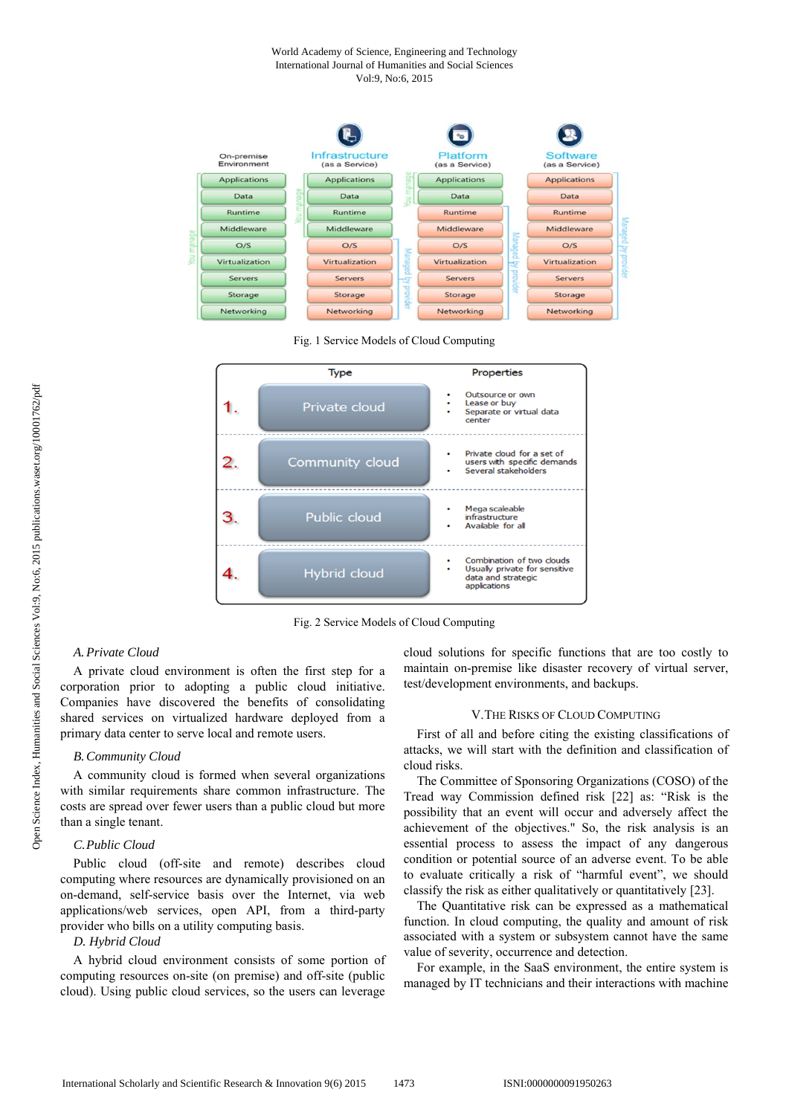#### World Academy of Science, Engineering and Technology International Journal of Humanities and Social Sciences Vol:9, No:6, 2015



Fig. 1 Service Models of Cloud Computing



Fig. 2 Service Models of Cloud Computing

#### *A.Private Cloud*

A private cloud environment is often the first step for a corporation prior to adopting a public cloud initiative. Companies have discovered the benefits of consolidating shared services on virtualized hardware deployed from a primary data center to serve local and remote users.

#### *B.Community Cloud*

A community cloud is formed when several organizations with similar requirements share common infrastructure. The costs are spread over fewer users than a public cloud but more than a single tenant.

## *C.Public Cloud*

Public cloud (off-site and remote) describes cloud computing where resources are dynamically provisioned on an on-demand, self-service basis over the Internet, via web applications/web services, open API, from a third-party provider who bills on a utility computing basis.

#### *D. Hybrid Cloud*

A hybrid cloud environment consists of some portion of computing resources on-site (on premise) and off-site (public cloud). Using public cloud services, so the users can leverage cloud solutions for specific functions that are too costly to maintain on-premise like disaster recovery of virtual server, test/development environments, and backups.

#### V.THE RISKS OF CLOUD COMPUTING

First of all and before citing the existing classifications of attacks, we will start with the definition and classification of cloud risks.

The Committee of Sponsoring Organizations (COSO) of the Tread way Commission defined risk [22] as: "Risk is the possibility that an event will occur and adversely affect the achievement of the objectives." So, the risk analysis is an essential process to assess the impact of any dangerous condition or potential source of an adverse event. To be able to evaluate critically a risk of "harmful event", we should classify the risk as either qualitatively or quantitatively [23].

The Quantitative risk can be expressed as a mathematical function. In cloud computing, the quality and amount of risk associated with a system or subsystem cannot have the same value of severity, occurrence and detection.

For example, in the SaaS environment, the entire system is managed by IT technicians and their interactions with machine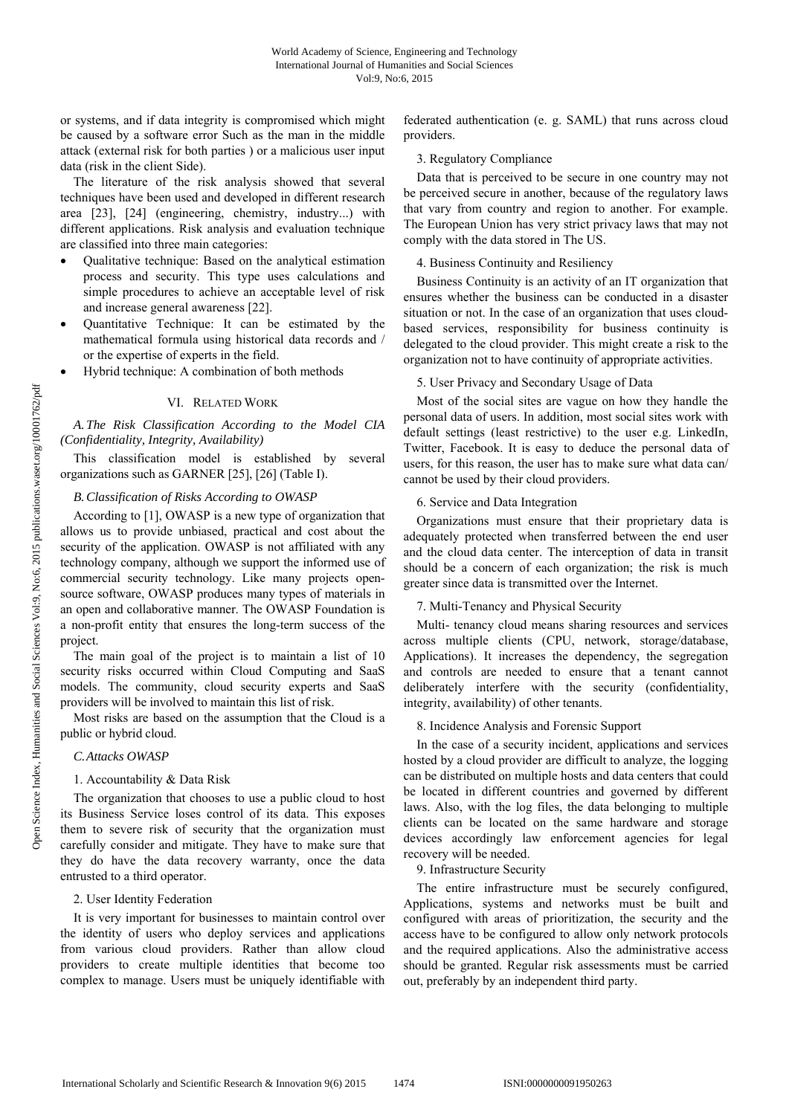or systems, and if data integrity is compromised which might be caused by a software error Such as the man in the middle attack (external risk for both parties ) or a malicious user input data (risk in the client Side).

The literature of the risk analysis showed that several techniques have been used and developed in different research area [23], [24] (engineering, chemistry, industry...) with different applications. Risk analysis and evaluation technique are classified into three main categories:

- Qualitative technique: Based on the analytical estimation process and security. This type uses calculations and simple procedures to achieve an acceptable level of risk and increase general awareness [22].
- Quantitative Technique: It can be estimated by the mathematical formula using historical data records and / or the expertise of experts in the field.
- Hybrid technique: A combination of both methods

## VI. RELATED WORK

# *A.The Risk Classification According to the Model CIA (Confidentiality, Integrity, Availability)*

This classification model is established by several organizations such as GARNER [25], [26] (Table I).

## *B.Classification of Risks According to OWASP*

According to [1], OWASP is a new type of organization that allows us to provide unbiased, practical and cost about the security of the application. OWASP is not affiliated with any technology company, although we support the informed use of commercial security technology. Like many projects opensource software, OWASP produces many types of materials in an open and collaborative manner. The OWASP Foundation is a non-profit entity that ensures the long-term success of the project.

The main goal of the project is to maintain a list of 10 security risks occurred within Cloud Computing and SaaS models. The community, cloud security experts and SaaS providers will be involved to maintain this list of risk.

Most risks are based on the assumption that the Cloud is a public or hybrid cloud.

## *C.Attacks OWASP*

# 1. Accountability & Data Risk

The organization that chooses to use a public cloud to host its Business Service loses control of its data. This exposes them to severe risk of security that the organization must carefully consider and mitigate. They have to make sure that they do have the data recovery warranty, once the data entrusted to a third operator.

## 2. User Identity Federation

It is very important for businesses to maintain control over the identity of users who deploy services and applications from various cloud providers. Rather than allow cloud providers to create multiple identities that become too complex to manage. Users must be uniquely identifiable with

federated authentication (e. g. SAML) that runs across cloud providers.

## 3. Regulatory Compliance

Data that is perceived to be secure in one country may not be perceived secure in another, because of the regulatory laws that vary from country and region to another. For example. The European Union has very strict privacy laws that may not comply with the data stored in The US.

## 4. Business Continuity and Resiliency

Business Continuity is an activity of an IT organization that ensures whether the business can be conducted in a disaster situation or not. In the case of an organization that uses cloudbased services, responsibility for business continuity is delegated to the cloud provider. This might create a risk to the organization not to have continuity of appropriate activities.

# 5. User Privacy and Secondary Usage of Data

Most of the social sites are vague on how they handle the personal data of users. In addition, most social sites work with default settings (least restrictive) to the user e.g. LinkedIn, Twitter, Facebook. It is easy to deduce the personal data of users, for this reason, the user has to make sure what data can/ cannot be used by their cloud providers.

## 6. Service and Data Integration

Organizations must ensure that their proprietary data is adequately protected when transferred between the end user and the cloud data center. The interception of data in transit should be a concern of each organization; the risk is much greater since data is transmitted over the Internet.

## 7. Multi-Tenancy and Physical Security

Multi- tenancy cloud means sharing resources and services across multiple clients (CPU, network, storage/database, Applications). It increases the dependency, the segregation and controls are needed to ensure that a tenant cannot deliberately interfere with the security (confidentiality, integrity, availability) of other tenants.

# 8. Incidence Analysis and Forensic Support

In the case of a security incident, applications and services hosted by a cloud provider are difficult to analyze, the logging can be distributed on multiple hosts and data centers that could be located in different countries and governed by different laws. Also, with the log files, the data belonging to multiple clients can be located on the same hardware and storage devices accordingly law enforcement agencies for legal recovery will be needed.

## 9. Infrastructure Security

The entire infrastructure must be securely configured, Applications, systems and networks must be built and configured with areas of prioritization, the security and the access have to be configured to allow only network protocols and the required applications. Also the administrative access should be granted. Regular risk assessments must be carried out, preferably by an independent third party.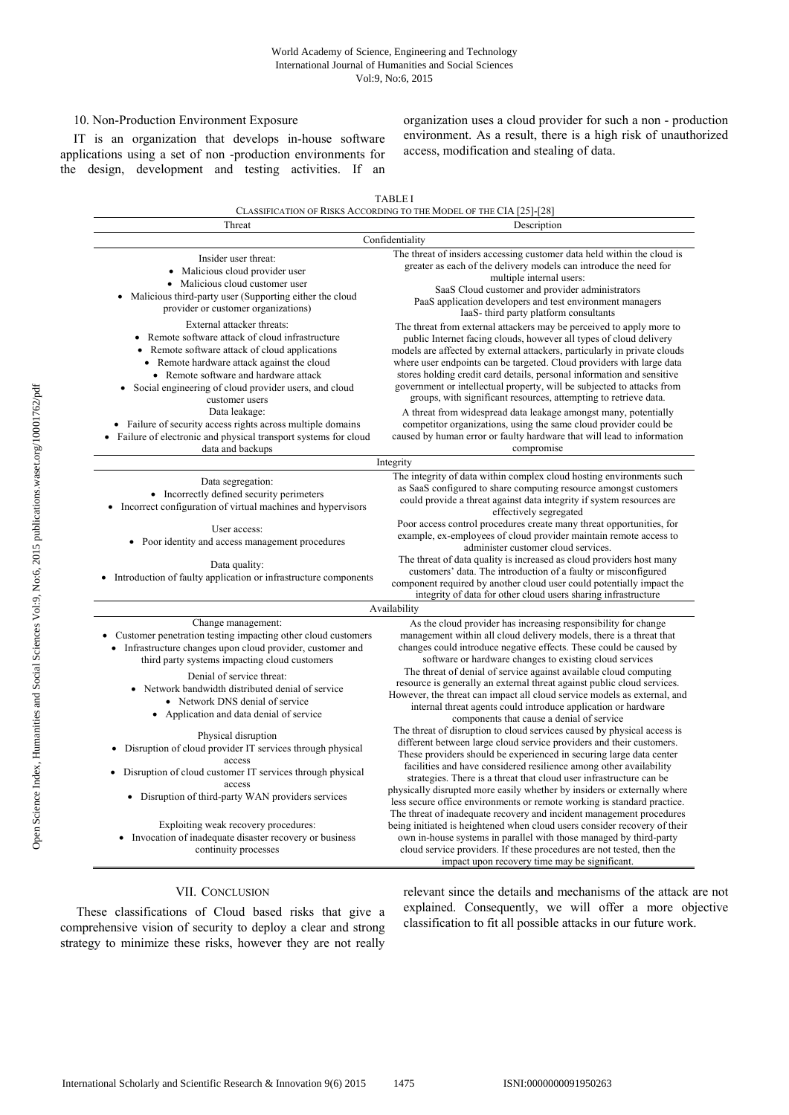## 10. Non-Production Environment Exposure

IT is an organization that develops in-house software applications using a set of non -production environments for the design, development and testing activities. If an organization uses a cloud provider for such a non - production environment. As a result, there is a high risk of unauthorized access, modification and stealing of data.

|                                                                                                                                                                                                                                                                                                                                                                                                                                                                   | <b>TABLE I</b>                                                                                                                                                                                                                                                                                                                                                                                                                                                                                                                                                                                                                                                                                                                                                                                    |
|-------------------------------------------------------------------------------------------------------------------------------------------------------------------------------------------------------------------------------------------------------------------------------------------------------------------------------------------------------------------------------------------------------------------------------------------------------------------|---------------------------------------------------------------------------------------------------------------------------------------------------------------------------------------------------------------------------------------------------------------------------------------------------------------------------------------------------------------------------------------------------------------------------------------------------------------------------------------------------------------------------------------------------------------------------------------------------------------------------------------------------------------------------------------------------------------------------------------------------------------------------------------------------|
|                                                                                                                                                                                                                                                                                                                                                                                                                                                                   | CLASSIFICATION OF RISKS ACCORDING TO THE MODEL OF THE CIA [25]-[28]                                                                                                                                                                                                                                                                                                                                                                                                                                                                                                                                                                                                                                                                                                                               |
| Threat                                                                                                                                                                                                                                                                                                                                                                                                                                                            | Description                                                                                                                                                                                                                                                                                                                                                                                                                                                                                                                                                                                                                                                                                                                                                                                       |
|                                                                                                                                                                                                                                                                                                                                                                                                                                                                   | Confidentiality                                                                                                                                                                                                                                                                                                                                                                                                                                                                                                                                                                                                                                                                                                                                                                                   |
| Insider user threat:<br>• Malicious cloud provider user<br>• Malicious cloud customer user<br>Malicious third-party user (Supporting either the cloud<br>provider or customer organizations)                                                                                                                                                                                                                                                                      | The threat of insiders accessing customer data held within the cloud is<br>greater as each of the delivery models can introduce the need for<br>multiple internal users:<br>SaaS Cloud customer and provider administrators<br>PaaS application developers and test environment managers                                                                                                                                                                                                                                                                                                                                                                                                                                                                                                          |
| External attacker threats:<br>Remote software attack of cloud infrastructure<br>• Remote software attack of cloud applications<br>• Remote hardware attack against the cloud<br>• Remote software and hardware attack<br>Social engineering of cloud provider users, and cloud<br>$\bullet$<br>customer users<br>Data leakage:<br>• Failure of security access rights across multiple domains<br>• Failure of electronic and physical transport systems for cloud | IaaS- third party platform consultants<br>The threat from external attackers may be perceived to apply more to<br>public Internet facing clouds, however all types of cloud delivery<br>models are affected by external attackers, particularly in private clouds<br>where user endpoints can be targeted. Cloud providers with large data<br>stores holding credit card details, personal information and sensitive<br>government or intellectual property, will be subjected to attacks from<br>groups, with significant resources, attempting to retrieve data.<br>A threat from widespread data leakage amongst many, potentially<br>competitor organizations, using the same cloud provider could be<br>caused by human error or faulty hardware that will lead to information<br>compromise |
| data and backups                                                                                                                                                                                                                                                                                                                                                                                                                                                  |                                                                                                                                                                                                                                                                                                                                                                                                                                                                                                                                                                                                                                                                                                                                                                                                   |
| Integrity                                                                                                                                                                                                                                                                                                                                                                                                                                                         |                                                                                                                                                                                                                                                                                                                                                                                                                                                                                                                                                                                                                                                                                                                                                                                                   |
| Data segregation:<br>• Incorrectly defined security perimeters<br>• Incorrect configuration of virtual machines and hypervisors<br>User access:<br>• Poor identity and access management procedures                                                                                                                                                                                                                                                               | The integrity of data within complex cloud hosting environments such<br>as SaaS configured to share computing resource amongst customers<br>could provide a threat against data integrity if system resources are<br>effectively segregated<br>Poor access control procedures create many threat opportunities, for<br>example, ex-employees of cloud provider maintain remote access to<br>administer customer cloud services.                                                                                                                                                                                                                                                                                                                                                                   |
| Data quality:<br>• Introduction of faulty application or infrastructure components                                                                                                                                                                                                                                                                                                                                                                                | The threat of data quality is increased as cloud providers host many<br>customers' data. The introduction of a faulty or misconfigured<br>component required by another cloud user could potentially impact the<br>integrity of data for other cloud users sharing infrastructure                                                                                                                                                                                                                                                                                                                                                                                                                                                                                                                 |
|                                                                                                                                                                                                                                                                                                                                                                                                                                                                   | Availability                                                                                                                                                                                                                                                                                                                                                                                                                                                                                                                                                                                                                                                                                                                                                                                      |
| Change management:<br>Customer penetration testing impacting other cloud customers<br>• Infrastructure changes upon cloud provider, customer and<br>third party systems impacting cloud customers                                                                                                                                                                                                                                                                 | As the cloud provider has increasing responsibility for change<br>management within all cloud delivery models, there is a threat that<br>changes could introduce negative effects. These could be caused by<br>software or hardware changes to existing cloud services                                                                                                                                                                                                                                                                                                                                                                                                                                                                                                                            |
| Denial of service threat:<br>Network bandwidth distributed denial of service<br>• Network DNS denial of service<br>Application and data denial of service                                                                                                                                                                                                                                                                                                         | The threat of denial of service against available cloud computing<br>resource is generally an external threat against public cloud services.<br>However, the threat can impact all cloud service models as external, and<br>internal threat agents could introduce application or hardware<br>components that cause a denial of service                                                                                                                                                                                                                                                                                                                                                                                                                                                           |
| Physical disruption<br>Disruption of cloud provider IT services through physical<br>$\bullet$<br>access                                                                                                                                                                                                                                                                                                                                                           | The threat of disruption to cloud services caused by physical access is<br>different between large cloud service providers and their customers.<br>These providers should be experienced in securing large data center<br>facilities and have considered resilience among other availability                                                                                                                                                                                                                                                                                                                                                                                                                                                                                                      |
| • Disruption of cloud customer IT services through physical<br>access<br>• Disruption of third-party WAN providers services                                                                                                                                                                                                                                                                                                                                       | strategies. There is a threat that cloud user infrastructure can be<br>physically disrupted more easily whether by insiders or externally where<br>less secure office environments or remote working is standard practice.<br>The threat of inadequate recovery and incident management procedures                                                                                                                                                                                                                                                                                                                                                                                                                                                                                                |
| Exploiting weak recovery procedures:<br>Invocation of inadequate disaster recovery or business<br>$\bullet$<br>continuity processes                                                                                                                                                                                                                                                                                                                               | being initiated is heightened when cloud users consider recovery of their<br>own in-house systems in parallel with those managed by third-party<br>cloud service providers. If these procedures are not tested, then the<br>impact upon recovery time may be significant.                                                                                                                                                                                                                                                                                                                                                                                                                                                                                                                         |

## VII. CONCLUSION

 These classifications of Cloud based risks that give a comprehensive vision of security to deploy a clear and strong strategy to minimize these risks, however they are not really

relevant since the details and mechanisms of the attack are not explained. Consequently, we will offer a more objective classification to fit all possible attacks in our future work.